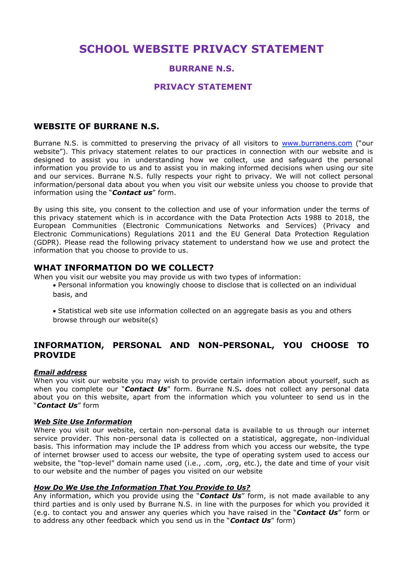# **SCHOOL WEBSITE PRIVACY STATEMENT**

## **BURRANE N.S.**

### **PRIVACY STATEMENT**

## **WEBSITE OF BURRANE N.S.**

Burrane N.S. is committed to preserving the privacy of all visitors to [www.burranens.com](http://www.burranens.com/) ("our website"). This privacy statement relates to our practices in connection with our website and is designed to assist you in understanding how we collect, use and safeguard the personal information you provide to us and to assist you in making informed decisions when using our site and our services. Burrane N.S. fully respects your right to privacy. We will not collect personal information/personal data about you when you visit our website unless you choose to provide that information using the "*Contact us*" form.

By using this site, you consent to the collection and use of your information under the terms of this privacy statement which is in accordance with the Data Protection Acts 1988 to 2018, the European Communities (Electronic Communications Networks and Services) (Privacy and Electronic Communications) Regulations 2011 and the EU General Data Protection Regulation (GDPR). Please read the following privacy statement to understand how we use and protect the information that you choose to provide to us.

#### **WHAT INFORMATION DO WE COLLECT?**

When you visit our website you may provide us with two types of information:

 Personal information you knowingly choose to disclose that is collected on an individual basis, and

 Statistical web site use information collected on an aggregate basis as you and others browse through our website(s)

# **INFORMATION, PERSONAL AND NON-PERSONAL, YOU CHOOSE TO PROVIDE**

#### *Email address*

When you visit our website you may wish to provide certain information about yourself, such as when you complete our "*Contact Us*" form. Burrane N.S**.** does not collect any personal data about you on this website, apart from the information which you volunteer to send us in the "*Contact Us*" form

#### *Web Site Use Information*

Where you visit our website, certain non-personal data is available to us through our internet service provider. This non-personal data is collected on a statistical, aggregate, non-individual basis. This information may include the IP address from which you access our website, the type of internet browser used to access our website, the type of operating system used to access our website, the "top-level" domain name used (i.e., .com, .org, etc.), the date and time of your visit to our website and the number of pages you visited on our website

#### *How Do We Use the Information That You Provide to Us?*

Any information, which you provide using the "*Contact Us*" form, is not made available to any third parties and is only used by Burrane N.S. in line with the purposes for which you provided it (e.g. to contact you and answer any queries which you have raised in the "*Contact Us*" form or to address any other feedback which you send us in the "*Contact Us*" form)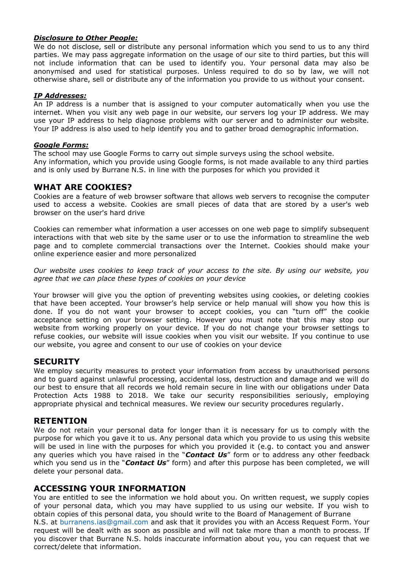#### *Disclosure to Other People:*

We do not disclose, sell or distribute any personal information which you send to us to any third parties. We may pass aggregate information on the usage of our site to third parties, but this will not include information that can be used to identify you. Your personal data may also be anonymised and used for statistical purposes. Unless required to do so by law, we will not otherwise share, sell or distribute any of the information you provide to us without your consent.

#### *IP Addresses:*

An IP address is a number that is assigned to your computer automatically when you use the internet. When you visit any web page in our website, our servers log your IP address. We may use your IP address to help diagnose problems with our server and to administer our website. Your IP address is also used to help identify you and to gather broad demographic information.

#### *Google Forms:*

The school may use Google Forms to carry out simple surveys using the school website. Any information, which you provide using Google forms, is not made available to any third parties and is only used by Burrane N.S. in line with the purposes for which you provided it

## **WHAT ARE COOKIES?**

Cookies are a feature of web browser software that allows web servers to recognise the computer used to access a website. Cookies are small pieces of data that are stored by a user's web browser on the user's hard drive

Cookies can remember what information a user accesses on one web page to simplify subsequent interactions with that web site by the same user or to use the information to streamline the web page and to complete commercial transactions over the Internet. Cookies should make your online experience easier and more personalized

*Our website uses cookies to keep track of your access to the site. By using our website, you agree that we can place these types of cookies on your device*

Your browser will give you the option of preventing websites using cookies, or deleting cookies that have been accepted. Your browser's help service or help manual will show you how this is done. If you do not want your browser to accept cookies, you can "turn off" the cookie acceptance setting on your browser setting. However you must note that this may stop our website from working properly on your device. If you do not change your browser settings to refuse cookies, our website will issue cookies when you visit our website. If you continue to use our website, you agree and consent to our use of cookies on your device

## **SECURITY**

We employ security measures to protect your information from access by unauthorised persons and to guard against unlawful processing, accidental loss, destruction and damage and we will do our best to ensure that all records we hold remain secure in line with our obligations under Data Protection Acts 1988 to 2018. We take our security responsibilities seriously, employing appropriate physical and technical measures. We review our security procedures regularly.

#### **RETENTION**

We do not retain your personal data for longer than it is necessary for us to comply with the purpose for which you gave it to us. Any personal data which you provide to us using this website will be used in line with the purposes for which you provided it (e.g. to contact you and answer any queries which you have raised in the "*Contact Us*" form or to address any other feedback which you send us in the "*Contact Us*" form) and after this purpose has been completed, we will delete your personal data.

## **ACCESSING YOUR INFORMATION**

You are entitled to see the information we hold about you. On written request, we supply copies of your personal data, which you may have supplied to us using our website. If you wish to obtain copies of this personal data, you should write to the Board of Management of Burrane N.S. at burranens.ias@gmail.com and ask that it provides you with an Access Request Form. Your request will be dealt with as soon as possible and will not take more than a month to process. If you discover that Burrane N.S. holds inaccurate information about you, you can request that we correct/delete that information.